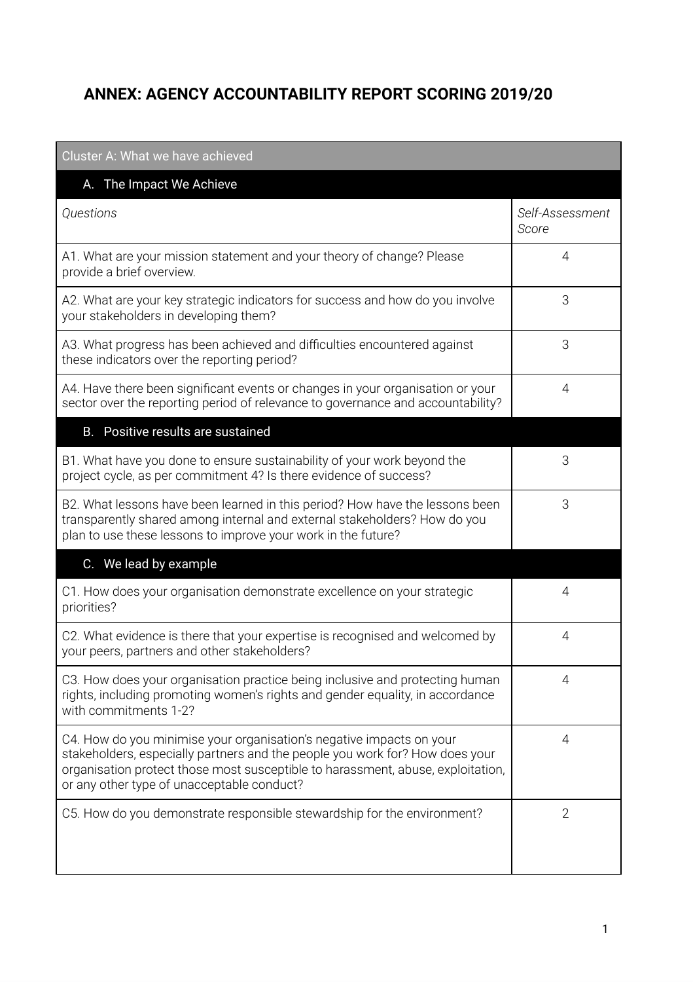## **ANNEX: AGENCY ACCOUNTABILITY REPORT SCORING 2019/20**

| Cluster A: What we have achieved                                                                                                                                                                                                                                                      |                          |
|---------------------------------------------------------------------------------------------------------------------------------------------------------------------------------------------------------------------------------------------------------------------------------------|--------------------------|
| A. The Impact We Achieve                                                                                                                                                                                                                                                              |                          |
| Questions                                                                                                                                                                                                                                                                             | Self-Assessment<br>Score |
| A1. What are your mission statement and your theory of change? Please<br>provide a brief overview.                                                                                                                                                                                    | 4                        |
| A2. What are your key strategic indicators for success and how do you involve<br>your stakeholders in developing them?                                                                                                                                                                | 3                        |
| A3. What progress has been achieved and difficulties encountered against<br>these indicators over the reporting period?                                                                                                                                                               | 3                        |
| A4. Have there been significant events or changes in your organisation or your<br>sector over the reporting period of relevance to governance and accountability?                                                                                                                     | 4                        |
| B. Positive results are sustained                                                                                                                                                                                                                                                     |                          |
| B1. What have you done to ensure sustainability of your work beyond the<br>project cycle, as per commitment 4? Is there evidence of success?                                                                                                                                          | 3                        |
| B2. What lessons have been learned in this period? How have the lessons been<br>transparently shared among internal and external stakeholders? How do you<br>plan to use these lessons to improve your work in the future?                                                            | 3                        |
| C. We lead by example                                                                                                                                                                                                                                                                 |                          |
| C1. How does your organisation demonstrate excellence on your strategic<br>priorities?                                                                                                                                                                                                | 4                        |
| C2. What evidence is there that your expertise is recognised and welcomed by<br>your peers, partners and other stakeholders?                                                                                                                                                          | 4                        |
| C3. How does your organisation practice being inclusive and protecting human<br>rights, including promoting women's rights and gender equality, in accordance<br>with commitments 1-2?                                                                                                | 4                        |
| C4. How do you minimise your organisation's negative impacts on your<br>stakeholders, especially partners and the people you work for? How does your<br>organisation protect those most susceptible to harassment, abuse, exploitation,<br>or any other type of unacceptable conduct? | $\overline{4}$           |
| C5. How do you demonstrate responsible stewardship for the environment?                                                                                                                                                                                                               | $\overline{2}$           |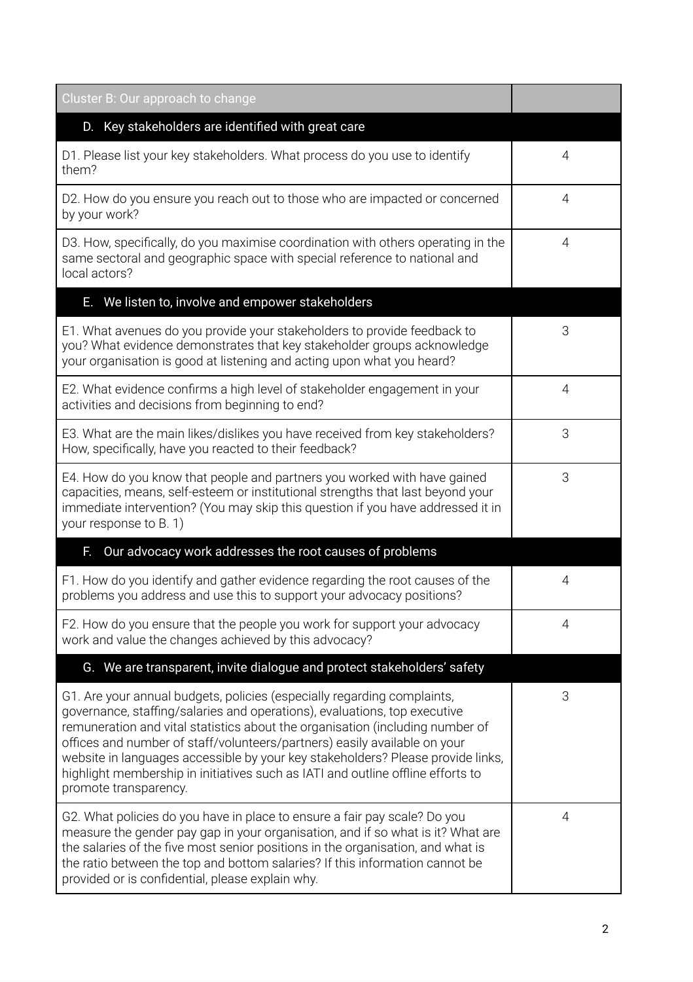| Cluster B: Our approach to change                                                                                                                                                                                                                                                                                                                                                                                                                                                                                 |                |
|-------------------------------------------------------------------------------------------------------------------------------------------------------------------------------------------------------------------------------------------------------------------------------------------------------------------------------------------------------------------------------------------------------------------------------------------------------------------------------------------------------------------|----------------|
| Key stakeholders are identified with great care<br>D.                                                                                                                                                                                                                                                                                                                                                                                                                                                             |                |
| D1. Please list your key stakeholders. What process do you use to identify<br>them?                                                                                                                                                                                                                                                                                                                                                                                                                               | 4              |
| D2. How do you ensure you reach out to those who are impacted or concerned<br>by your work?                                                                                                                                                                                                                                                                                                                                                                                                                       | 4              |
| D3. How, specifically, do you maximise coordination with others operating in the<br>same sectoral and geographic space with special reference to national and<br>local actors?                                                                                                                                                                                                                                                                                                                                    | 4              |
| E. We listen to, involve and empower stakeholders                                                                                                                                                                                                                                                                                                                                                                                                                                                                 |                |
| E1. What avenues do you provide your stakeholders to provide feedback to<br>you? What evidence demonstrates that key stakeholder groups acknowledge<br>your organisation is good at listening and acting upon what you heard?                                                                                                                                                                                                                                                                                     | 3              |
| E2. What evidence confirms a high level of stakeholder engagement in your<br>activities and decisions from beginning to end?                                                                                                                                                                                                                                                                                                                                                                                      | $\overline{4}$ |
| E3. What are the main likes/dislikes you have received from key stakeholders?<br>How, specifically, have you reacted to their feedback?                                                                                                                                                                                                                                                                                                                                                                           | 3              |
| E4. How do you know that people and partners you worked with have gained<br>capacities, means, self-esteem or institutional strengths that last beyond your<br>immediate intervention? (You may skip this question if you have addressed it in<br>your response to B. 1)                                                                                                                                                                                                                                          | 3              |
| Our advocacy work addresses the root causes of problems<br>F.                                                                                                                                                                                                                                                                                                                                                                                                                                                     |                |
| F1. How do you identify and gather evidence regarding the root causes of the<br>problems you address and use this to support your advocacy positions?                                                                                                                                                                                                                                                                                                                                                             | 4              |
| F2. How do you ensure that the people you work for support your advocacy<br>work and value the changes achieved by this advocacy?                                                                                                                                                                                                                                                                                                                                                                                 | 4              |
| G. We are transparent, invite dialogue and protect stakeholders' safety                                                                                                                                                                                                                                                                                                                                                                                                                                           |                |
| G1. Are your annual budgets, policies (especially regarding complaints,<br>governance, staffing/salaries and operations), evaluations, top executive<br>remuneration and vital statistics about the organisation (including number of<br>offices and number of staff/volunteers/partners) easily available on your<br>website in languages accessible by your key stakeholders? Please provide links,<br>highlight membership in initiatives such as IATI and outline offline efforts to<br>promote transparency. | 3              |
| G2. What policies do you have in place to ensure a fair pay scale? Do you<br>measure the gender pay gap in your organisation, and if so what is it? What are<br>the salaries of the five most senior positions in the organisation, and what is<br>the ratio between the top and bottom salaries? If this information cannot be<br>provided or is confidential, please explain why.                                                                                                                               | 4              |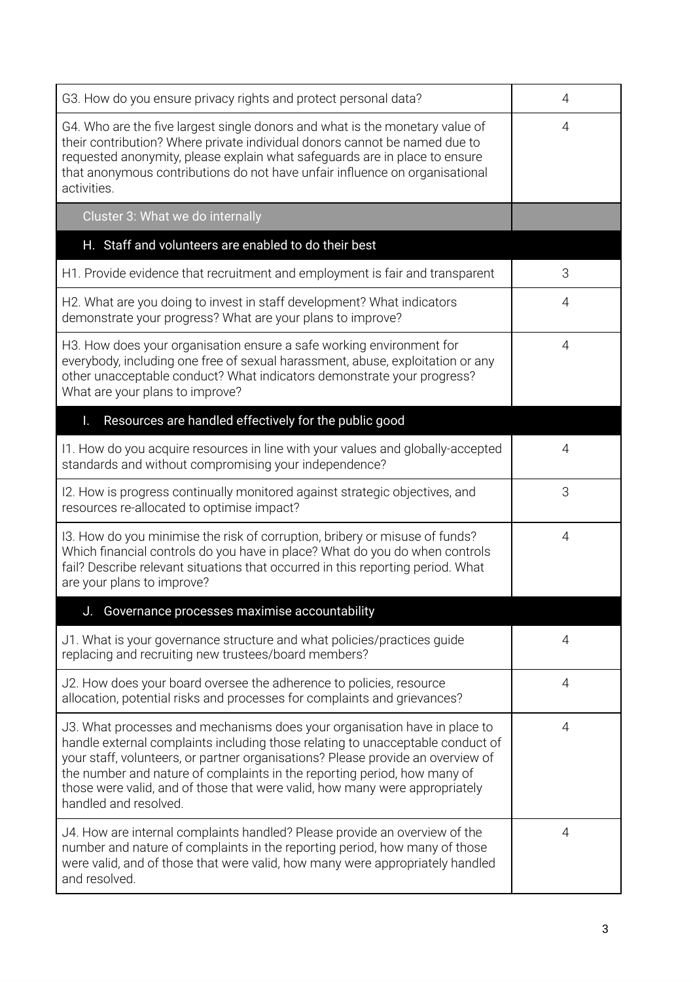| G3. How do you ensure privacy rights and protect personal data?                                                                                                                                                                                                                                                                                                                                                                    | 4              |
|------------------------------------------------------------------------------------------------------------------------------------------------------------------------------------------------------------------------------------------------------------------------------------------------------------------------------------------------------------------------------------------------------------------------------------|----------------|
| G4. Who are the five largest single donors and what is the monetary value of<br>their contribution? Where private individual donors cannot be named due to<br>requested anonymity, please explain what safeguards are in place to ensure<br>that anonymous contributions do not have unfair influence on organisational<br>activities.                                                                                             | 4              |
| Cluster 3: What we do internally                                                                                                                                                                                                                                                                                                                                                                                                   |                |
| H. Staff and volunteers are enabled to do their best                                                                                                                                                                                                                                                                                                                                                                               |                |
| H1. Provide evidence that recruitment and employment is fair and transparent                                                                                                                                                                                                                                                                                                                                                       | 3              |
| H2. What are you doing to invest in staff development? What indicators<br>demonstrate your progress? What are your plans to improve?                                                                                                                                                                                                                                                                                               | 4              |
| H3. How does your organisation ensure a safe working environment for<br>everybody, including one free of sexual harassment, abuse, exploitation or any<br>other unacceptable conduct? What indicators demonstrate your progress?<br>What are your plans to improve?                                                                                                                                                                | 4              |
| Resources are handled effectively for the public good<br>I.                                                                                                                                                                                                                                                                                                                                                                        |                |
| 11. How do you acquire resources in line with your values and globally-accepted<br>standards and without compromising your independence?                                                                                                                                                                                                                                                                                           | 4              |
| 12. How is progress continually monitored against strategic objectives, and<br>resources re-allocated to optimise impact?                                                                                                                                                                                                                                                                                                          | 3              |
| 13. How do you minimise the risk of corruption, bribery or misuse of funds?<br>Which financial controls do you have in place? What do you do when controls<br>fail? Describe relevant situations that occurred in this reporting period. What<br>are your plans to improve?                                                                                                                                                        | 4              |
| J. Governance processes maximise accountability                                                                                                                                                                                                                                                                                                                                                                                    |                |
| J1. What is your governance structure and what policies/practices guide<br>replacing and recruiting new trustees/board members?                                                                                                                                                                                                                                                                                                    | 4              |
| J2. How does your board oversee the adherence to policies, resource<br>allocation, potential risks and processes for complaints and grievances?                                                                                                                                                                                                                                                                                    | 4              |
| J3. What processes and mechanisms does your organisation have in place to<br>handle external complaints including those relating to unacceptable conduct of<br>your staff, volunteers, or partner organisations? Please provide an overview of<br>the number and nature of complaints in the reporting period, how many of<br>those were valid, and of those that were valid, how many were appropriately<br>handled and resolved. | $\overline{4}$ |
| J4. How are internal complaints handled? Please provide an overview of the<br>number and nature of complaints in the reporting period, how many of those<br>were valid, and of those that were valid, how many were appropriately handled<br>and resolved.                                                                                                                                                                         | 4              |